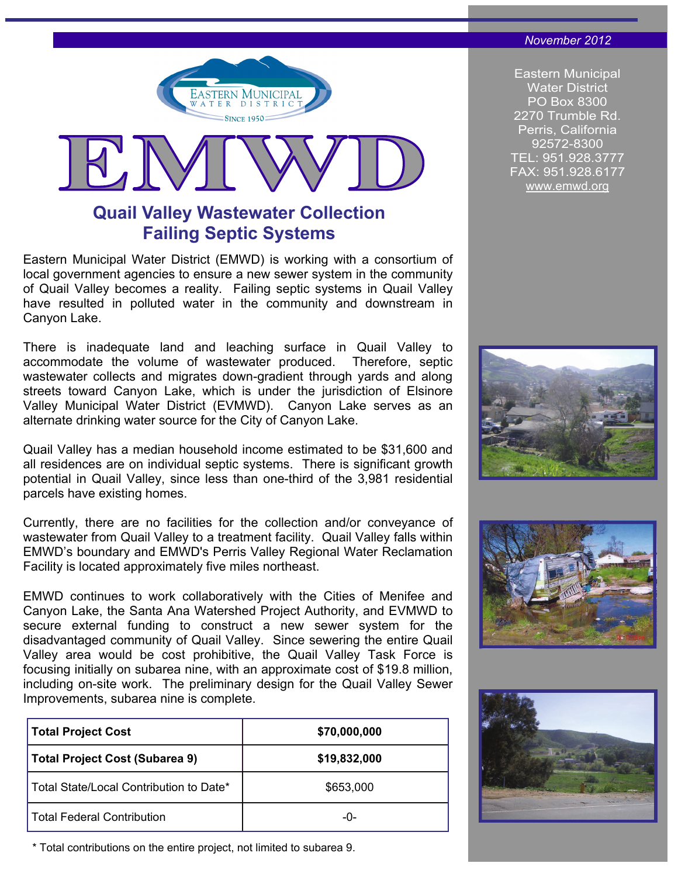## *November 2012*



## **Quail Valley Wastewater Collection Failing Septic Systems**

Eastern Municipal Water District (EMWD) is working with a consortium of local government agencies to ensure a new sewer system in the community of Quail Valley becomes a reality. Failing septic systems in Quail Valley have resulted in polluted water in the community and downstream in Canyon Lake.

There is inadequate land and leaching surface in Quail Valley to accommodate the volume of wastewater produced. Therefore, septic wastewater collects and migrates down-gradient through yards and along streets toward Canyon Lake, which is under the jurisdiction of Elsinore Valley Municipal Water District (EVMWD). Canyon Lake serves as an alternate drinking water source for the City of Canyon Lake.

Quail Valley has a median household income estimated to be \$31,600 and all residences are on individual septic systems. There is significant growth potential in Quail Valley, since less than one-third of the 3,981 residential parcels have existing homes.

Currently, there are no facilities for the collection and/or conveyance of wastewater from Quail Valley to a treatment facility. Quail Valley falls within EMWD's boundary and EMWD's Perris Valley Regional Water Reclamation Facility is located approximately five miles northeast.

EMWD continues to work collaboratively with the Cities of Menifee and Canyon Lake, the Santa Ana Watershed Project Authority, and EVMWD to secure external funding to construct a new sewer system for the disadvantaged community of Quail Valley. Since sewering the entire Quail Valley area would be cost prohibitive, the Quail Valley Task Force is focusing initially on subarea nine, with an approximate cost of \$19.8 million, including on-site work. The preliminary design for the Quail Valley Sewer Improvements, subarea nine is complete.

| Total Project Cost                      | \$70,000,000 |
|-----------------------------------------|--------------|
| Total Project Cost (Subarea 9)          | \$19,832,000 |
| Total State/Local Contribution to Date* | \$653,000    |
| Total Federal Contribution              | $-0-$        |

\* Total contributions on the entire project, not limited to subarea 9.

Eastern Municipal Water District PO Box 8300 2270 Trumble Rd. Perris, California 92572-8300 TEL: 951.928.3777 FAX: 951.928.6177 www.emwd.org